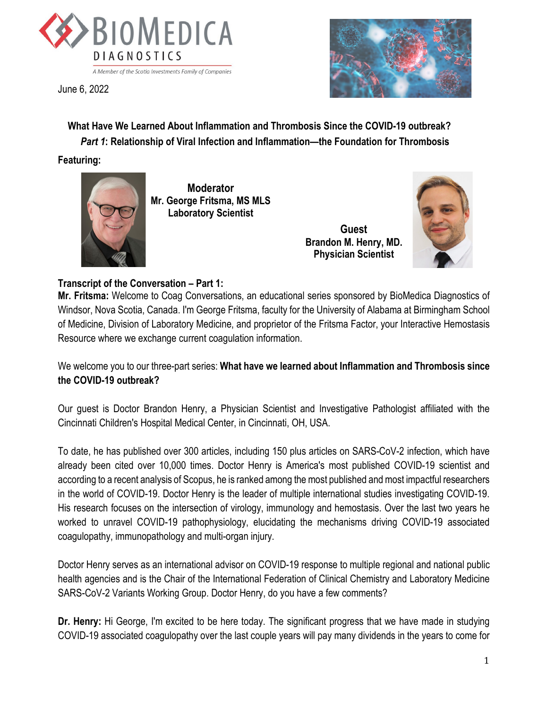

June 6, 2022



 **What Have We Learned About Inflammation and Thrombosis Since the COVID-19 outbreak?** *Part 1***: Relationship of Viral Infection and Inflammation—the Foundation for Thrombosis** 

**Featuring:**



**Moderator Mr. George Fritsma, MS MLS Laboratory Scientist**

> **Guest Brandon M. Henry, MD. Physician Scientist**



## **Transcript of the Conversation – Part 1:**

**Mr. Fritsma:** Welcome to Coag Conversations, an educational series sponsored by BioMedica Diagnostics of Windsor, Nova Scotia, Canada. I'm George Fritsma, faculty for the University of Alabama at Birmingham School of Medicine, Division of Laboratory Medicine, and proprietor of the Fritsma Factor, your Interactive Hemostasis Resource where we exchange current coagulation information.

We welcome you to our three-part series: **What have we learned about Inflammation and Thrombosis since the COVID-19 outbreak?**

Our guest is Doctor Brandon Henry, a Physician Scientist and Investigative Pathologist affiliated with the Cincinnati Children's Hospital Medical Center, in Cincinnati, OH, USA.

To date, he has published over 300 articles, including 150 plus articles on SARS-CoV-2 infection, which have already been cited over 10,000 times. Doctor Henry is America's most published COVID-19 scientist and according to a recent analysis of Scopus, he is ranked among the most published and most impactful researchers in the world of COVID-19. Doctor Henry is the leader of multiple international studies investigating COVID-19. His research focuses on the intersection of virology, immunology and hemostasis. Over the last two years he worked to unravel COVID-19 pathophysiology, elucidating the mechanisms driving COVID-19 associated coagulopathy, immunopathology and multi-organ injury.

Doctor Henry serves as an international advisor on COVID-19 response to multiple regional and national public health agencies and is the Chair of the International Federation of Clinical Chemistry and Laboratory Medicine SARS-CoV-2 Variants Working Group. Doctor Henry, do you have a few comments?

**Dr. Henry:** Hi George, I'm excited to be here today. The significant progress that we have made in studying COVID-19 associated coagulopathy over the last couple years will pay many dividends in the years to come for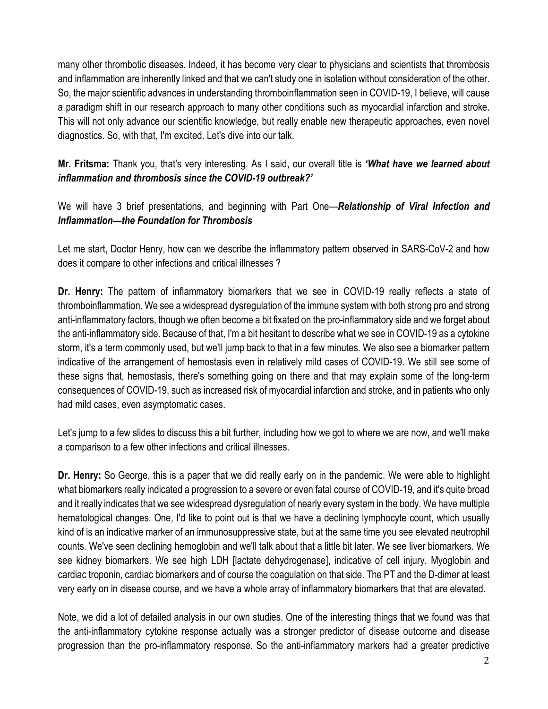many other thrombotic diseases. Indeed, it has become very clear to physicians and scientists that thrombosis and inflammation are inherently linked and that we can't study one in isolation without consideration of the other. So, the major scientific advances in understanding thromboinflammation seen in COVID-19, I believe, will cause a paradigm shift in our research approach to many other conditions such as myocardial infarction and stroke. This will not only advance our scientific knowledge, but really enable new therapeutic approaches, even novel diagnostics. So, with that, I'm excited. Let's dive into our talk.

**Mr. Fritsma:** Thank you, that's very interesting. As I said, our overall title is *'What have we learned about inflammation and thrombosis since the COVID-19 outbreak?'*

We will have 3 brief presentations, and beginning with Part One—*Relationship of Viral Infection and Inflammation—the Foundation for Thrombosis*

Let me start, Doctor Henry, how can we describe the inflammatory pattern observed in SARS-CoV-2 and how does it compare to other infections and critical illnesses ?

**Dr. Henry:** The pattern of inflammatory biomarkers that we see in COVID-19 really reflects a state of thromboinflammation. We see a widespread dysregulation of the immune system with both strong pro and strong anti-inflammatory factors, though we often become a bit fixated on the pro-inflammatory side and we forget about the anti-inflammatory side. Because of that, I'm a bit hesitant to describe what we see in COVID-19 as a cytokine storm, it's a term commonly used, but we'll jump back to that in a few minutes. We also see a biomarker pattern indicative of the arrangement of hemostasis even in relatively mild cases of COVID-19. We still see some of these signs that, hemostasis, there's something going on there and that may explain some of the long-term consequences of COVID-19, such as increased risk of myocardial infarction and stroke, and in patients who only had mild cases, even asymptomatic cases.

Let's jump to a few slides to discuss this a bit further, including how we got to where we are now, and we'll make a comparison to a few other infections and critical illnesses.

**Dr. Henry:** So George, this is a paper that we did really early on in the pandemic. We were able to highlight what biomarkers really indicated a progression to a severe or even fatal course of COVID-19, and it's quite broad and it really indicates that we see widespread dysregulation of nearly every system in the body. We have multiple hematological changes. One, I'd like to point out is that we have a declining lymphocyte count, which usually kind of is an indicative marker of an immunosuppressive state, but at the same time you see elevated neutrophil counts. We've seen declining hemoglobin and we'll talk about that a little bit later. We see liver biomarkers. We see kidney biomarkers. We see high LDH [lactate dehydrogenase], indicative of cell injury. Myoglobin and cardiac troponin, cardiac biomarkers and of course the coagulation on that side. The PT and the D-dimer at least very early on in disease course, and we have a whole array of inflammatory biomarkers that that are elevated.

Note, we did a lot of detailed analysis in our own studies. One of the interesting things that we found was that the anti-inflammatory cytokine response actually was a stronger predictor of disease outcome and disease progression than the pro-inflammatory response. So the anti-inflammatory markers had a greater predictive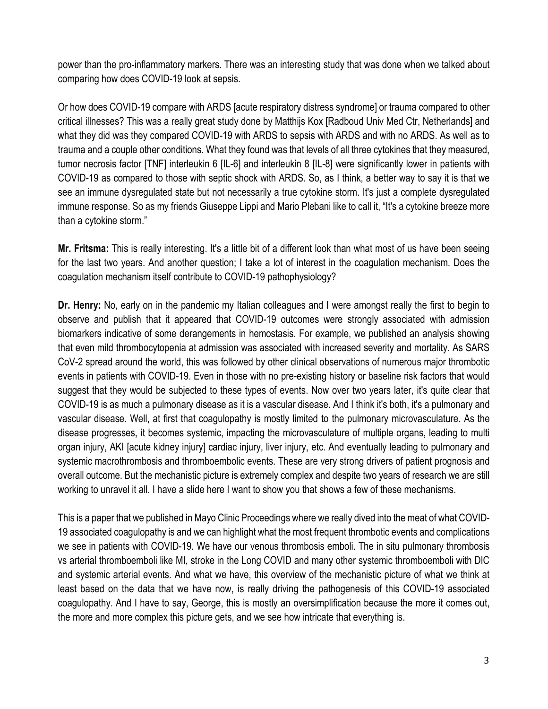power than the pro-inflammatory markers. There was an interesting study that was done when we talked about comparing how does COVID-19 look at sepsis.

Or how does COVID-19 compare with ARDS [acute respiratory distress syndrome] or trauma compared to other critical illnesses? This was a really great study done by Matthijs Kox [Radboud Univ Med Ctr, Netherlands] and what they did was they compared COVID-19 with ARDS to sepsis with ARDS and with no ARDS. As well as to trauma and a couple other conditions. What they found was that levels of all three cytokines that they measured, tumor necrosis factor [TNF] interleukin 6 [IL-6] and interleukin 8 [IL-8] were significantly lower in patients with COVID-19 as compared to those with septic shock with ARDS. So, as I think, a better way to say it is that we see an immune dysregulated state but not necessarily a true cytokine storm. It's just a complete dysregulated immune response. So as my friends Giuseppe Lippi and Mario Plebani like to call it, "It's a cytokine breeze more than a cytokine storm."

**Mr. Fritsma:** This is really interesting. It's a little bit of a different look than what most of us have been seeing for the last two years. And another question; I take a lot of interest in the coagulation mechanism. Does the coagulation mechanism itself contribute to COVID-19 pathophysiology?

**Dr. Henry:** No, early on in the pandemic my Italian colleagues and I were amongst really the first to begin to observe and publish that it appeared that COVID-19 outcomes were strongly associated with admission biomarkers indicative of some derangements in hemostasis. For example, we published an analysis showing that even mild thrombocytopenia at admission was associated with increased severity and mortality. As SARS CoV-2 spread around the world, this was followed by other clinical observations of numerous major thrombotic events in patients with COVID-19. Even in those with no pre-existing history or baseline risk factors that would suggest that they would be subjected to these types of events. Now over two years later, it's quite clear that COVID-19 is as much a pulmonary disease as it is a vascular disease. And I think it's both, it's a pulmonary and vascular disease. Well, at first that coagulopathy is mostly limited to the pulmonary microvasculature. As the disease progresses, it becomes systemic, impacting the microvasculature of multiple organs, leading to multi organ injury, AKI [acute kidney injury] cardiac injury, liver injury, etc. And eventually leading to pulmonary and systemic macrothrombosis and thromboembolic events. These are very strong drivers of patient prognosis and overall outcome. But the mechanistic picture is extremely complex and despite two years of research we are still working to unravel it all. I have a slide here I want to show you that shows a few of these mechanisms.

This is a paper that we published in Mayo Clinic Proceedings where we really dived into the meat of what COVID-19 associated coagulopathy is and we can highlight what the most frequent thrombotic events and complications we see in patients with COVID-19. We have our venous thrombosis emboli. The in situ pulmonary thrombosis vs arterial thromboemboli like MI, stroke in the Long COVID and many other systemic thromboemboli with DIC and systemic arterial events. And what we have, this overview of the mechanistic picture of what we think at least based on the data that we have now, is really driving the pathogenesis of this COVID-19 associated coagulopathy. And I have to say, George, this is mostly an oversimplification because the more it comes out, the more and more complex this picture gets, and we see how intricate that everything is.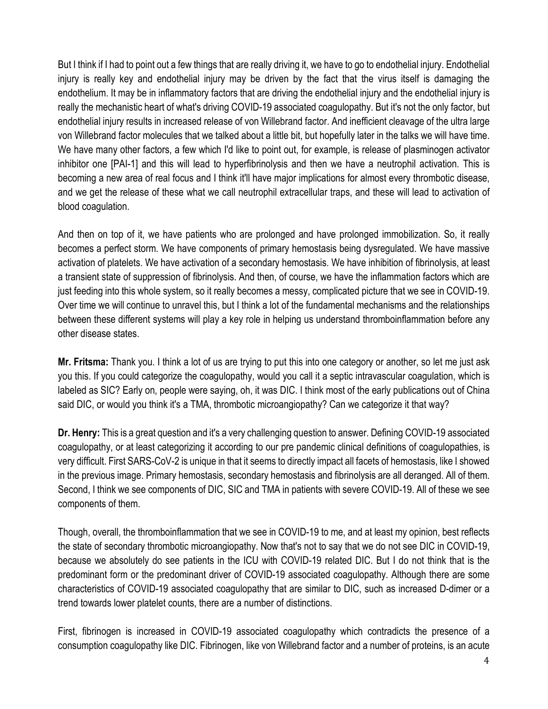But I think if I had to point out a few things that are really driving it, we have to go to endothelial injury. Endothelial injury is really key and endothelial injury may be driven by the fact that the virus itself is damaging the endothelium. It may be in inflammatory factors that are driving the endothelial injury and the endothelial injury is really the mechanistic heart of what's driving COVID-19 associated coagulopathy. But it's not the only factor, but endothelial injury results in increased release of von Willebrand factor. And inefficient cleavage of the ultra large von Willebrand factor molecules that we talked about a little bit, but hopefully later in the talks we will have time. We have many other factors, a few which I'd like to point out, for example, is release of plasminogen activator inhibitor one [PAI-1] and this will lead to hyperfibrinolysis and then we have a neutrophil activation. This is becoming a new area of real focus and I think it'll have major implications for almost every thrombotic disease, and we get the release of these what we call neutrophil extracellular traps, and these will lead to activation of blood coagulation.

And then on top of it, we have patients who are prolonged and have prolonged immobilization. So, it really becomes a perfect storm. We have components of primary hemostasis being dysregulated. We have massive activation of platelets. We have activation of a secondary hemostasis. We have inhibition of fibrinolysis, at least a transient state of suppression of fibrinolysis. And then, of course, we have the inflammation factors which are just feeding into this whole system, so it really becomes a messy, complicated picture that we see in COVID-19. Over time we will continue to unravel this, but I think a lot of the fundamental mechanisms and the relationships between these different systems will play a key role in helping us understand thromboinflammation before any other disease states.

**Mr. Fritsma:** Thank you. I think a lot of us are trying to put this into one category or another, so let me just ask you this. If you could categorize the coagulopathy, would you call it a septic intravascular coagulation, which is labeled as SIC? Early on, people were saying, oh, it was DIC. I think most of the early publications out of China said DIC, or would you think it's a TMA, thrombotic microangiopathy? Can we categorize it that way?

**Dr. Henry:** This is a great question and it's a very challenging question to answer. Defining COVID-19 associated coagulopathy, or at least categorizing it according to our pre pandemic clinical definitions of coagulopathies, is very difficult. First SARS-CoV-2 is unique in that it seems to directly impact all facets of hemostasis, like I showed in the previous image. Primary hemostasis, secondary hemostasis and fibrinolysis are all deranged. All of them. Second, I think we see components of DIC, SIC and TMA in patients with severe COVID-19. All of these we see components of them.

Though, overall, the thromboinflammation that we see in COVID-19 to me, and at least my opinion, best reflects the state of secondary thrombotic microangiopathy. Now that's not to say that we do not see DIC in COVID-19, because we absolutely do see patients in the ICU with COVID-19 related DIC. But I do not think that is the predominant form or the predominant driver of COVID-19 associated coagulopathy. Although there are some characteristics of COVID-19 associated coagulopathy that are similar to DIC, such as increased D-dimer or a trend towards lower platelet counts, there are a number of distinctions.

First, fibrinogen is increased in COVID-19 associated coagulopathy which contradicts the presence of a consumption coagulopathy like DIC. Fibrinogen, like von Willebrand factor and a number of proteins, is an acute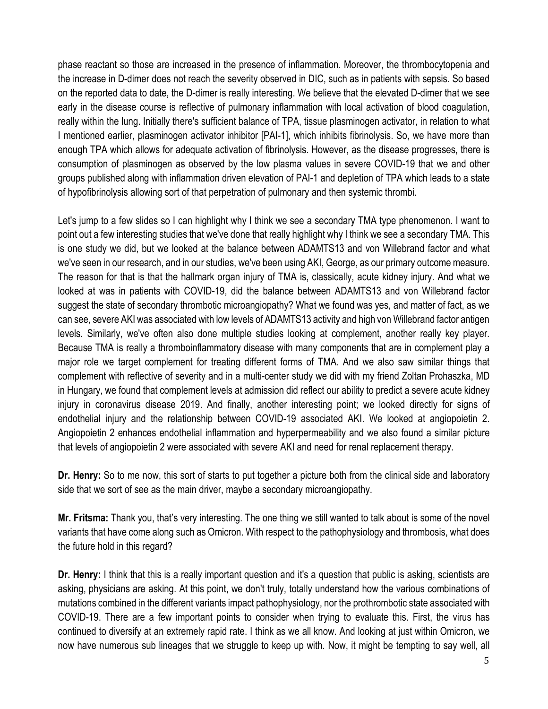phase reactant so those are increased in the presence of inflammation. Moreover, the thrombocytopenia and the increase in D-dimer does not reach the severity observed in DIC, such as in patients with sepsis. So based on the reported data to date, the D-dimer is really interesting. We believe that the elevated D-dimer that we see early in the disease course is reflective of pulmonary inflammation with local activation of blood coagulation, really within the lung. Initially there's sufficient balance of TPA, tissue plasminogen activator, in relation to what I mentioned earlier, plasminogen activator inhibitor [PAI-1], which inhibits fibrinolysis. So, we have more than enough TPA which allows for adequate activation of fibrinolysis. However, as the disease progresses, there is consumption of plasminogen as observed by the low plasma values in severe COVID-19 that we and other groups published along with inflammation driven elevation of PAI-1 and depletion of TPA which leads to a state of hypofibrinolysis allowing sort of that perpetration of pulmonary and then systemic thrombi.

Let's jump to a few slides so I can highlight why I think we see a secondary TMA type phenomenon. I want to point out a few interesting studies that we've done that really highlight why I think we see a secondary TMA. This is one study we did, but we looked at the balance between ADAMTS13 and von Willebrand factor and what we've seen in our research, and in our studies, we've been using AKI, George, as our primary outcome measure. The reason for that is that the hallmark organ injury of TMA is, classically, acute kidney injury. And what we looked at was in patients with COVID-19, did the balance between ADAMTS13 and von Willebrand factor suggest the state of secondary thrombotic microangiopathy? What we found was yes, and matter of fact, as we can see, severe AKI was associated with low levels of ADAMTS13 activity and high von Willebrand factor antigen levels. Similarly, we've often also done multiple studies looking at complement, another really key player. Because TMA is really a thromboinflammatory disease with many components that are in complement play a major role we target complement for treating different forms of TMA. And we also saw similar things that complement with reflective of severity and in a multi-center study we did with my friend Zoltan Prohaszka, MD in Hungary, we found that complement levels at admission did reflect our ability to predict a severe acute kidney injury in coronavirus disease 2019. And finally, another interesting point; we looked directly for signs of endothelial injury and the relationship between COVID-19 associated AKI. We looked at angiopoietin 2. Angiopoietin 2 enhances endothelial inflammation and hyperpermeability and we also found a similar picture that levels of angiopoietin 2 were associated with severe AKI and need for renal replacement therapy.

**Dr. Henry:** So to me now, this sort of starts to put together a picture both from the clinical side and laboratory side that we sort of see as the main driver, maybe a secondary microangiopathy.

**Mr. Fritsma:** Thank you, that's very interesting. The one thing we still wanted to talk about is some of the novel variants that have come along such as Omicron. With respect to the pathophysiology and thrombosis, what does the future hold in this regard?

**Dr. Henry:** I think that this is a really important question and it's a question that public is asking, scientists are asking, physicians are asking. At this point, we don't truly, totally understand how the various combinations of mutations combined in the different variants impact pathophysiology, nor the prothrombotic state associated with COVID-19. There are a few important points to consider when trying to evaluate this. First, the virus has continued to diversify at an extremely rapid rate. I think as we all know. And looking at just within Omicron, we now have numerous sub lineages that we struggle to keep up with. Now, it might be tempting to say well, all